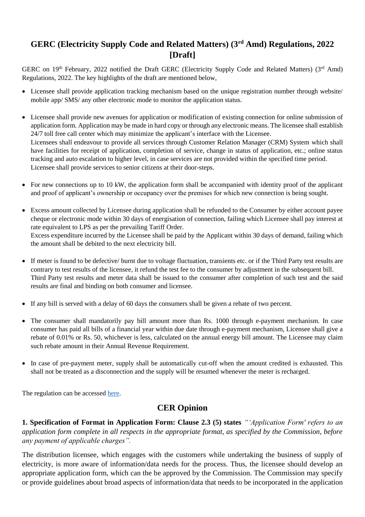## **GERC (Electricity Supply Code and Related Matters) (3rd Amd) Regulations, 2022 [Draft]**

GERC on 19<sup>th</sup> February, 2022 notified the Draft GERC (Electricity Supply Code and Related Matters) (3<sup>rd</sup> Amd) Regulations, 2022. The key highlights of the draft are mentioned below,

- Licensee shall provide application tracking mechanism based on the unique registration number through website/ mobile app/ SMS/ any other electronic mode to monitor the application status.
- Licensee shall provide new avenues for application or modification of existing connection for online submission of application form. Application may be made in hard copy or through any electronic means. The licensee shall establish 24/7 toll free call center which may minimize the applicant's interface with the Licensee. Licensees shall endeavour to provide all services through Customer Relation Manager (CRM) System which shall have facilities for receipt of application, completion of service, change in status of application, etc.; online status tracking and auto escalation to higher level, in case services are not provided within the specified time period. Licensee shall provide services to senior citizens at their door-steps.
- For new connections up to 10 kW, the application form shall be accompanied with identity proof of the applicant and proof of applicant's ownership or occupancy over the premises for which new connection is being sought.
- Excess amount collected by Licensee during application shall be refunded to the Consumer by either account payee cheque or electronic mode within 30 days of energisation of connection, failing which Licensee shall pay interest at rate equivalent to LPS as per the prevailing Tariff Order. Excess expenditure incurred by the Licensee shall be paid by the Applicant within 30 days of demand, failing which the amount shall be debited to the next electricity bill.
- If meter is found to be defective/ burnt due to voltage fluctuation, transients etc. or if the Third Party test results are contrary to test results of the licensee, it refund the test fee to the consumer by adjustment in the subsequent bill. Third Party test results and meter data shall be issued to the consumer after completion of such test and the said results are final and binding on both consumer and licensee.
- If any bill is served with a delay of 60 days the consumers shall be given a rebate of two percent.
- The consumer shall mandatorily pay bill amount more than Rs. 1000 through e-payment mechanism. In case consumer has paid all bills of a financial year within due date through e-payment mechanism, Licensee shall give a rebate of 0.01% or Rs. 50, whichever is less, calculated on the annual energy bill amount. The Licensee may claim such rebate amount in their Annual Revenue Requirement.
- In case of pre-payment meter, supply shall be automatically cut-off when the amount credited is exhausted. This shall not be treated as a disconnection and the supply will be resumed whenever the meter is recharged.

The regulation can be accessed [here.](https://cer.iitk.ac.in/odf_assets/upload_files/GERC_Electricity_Supply_Code_and_Related_Matters_3rd_Amd_Regulations_2022.pdf)

## **CER Opinion**

**1. Specification of Format in Application Form: Clause 2.3 (5) states** *"'Application Form' refers to an application form complete in all respects in the appropriate format, as specified by the Commission, before any payment of applicable charges".*

The distribution licensee, which engages with the customers while undertaking the business of supply of electricity, is more aware of information/data needs for the process. Thus, the licensee should develop an appropriate application form, which can the be approved by the Commission. The Commission may specify or provide guidelines about broad aspects of information/data that needs to be incorporated in the application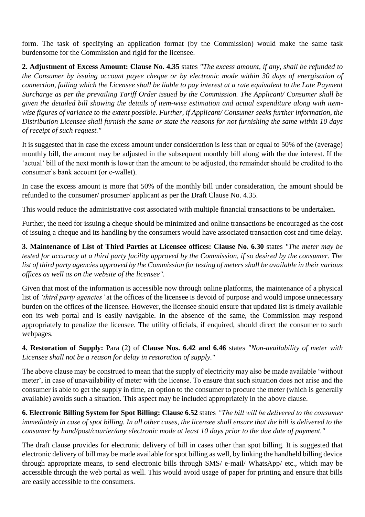form. The task of specifying an application format (by the Commission) would make the same task burdensome for the Commission and rigid for the licensee.

**2. Adjustment of Excess Amount: Clause No. 4.35** states *"The excess amount, if any, shall be refunded to the Consumer by issuing account payee cheque or by electronic mode within 30 days of energisation of connection, failing which the Licensee shall be liable to pay interest at a rate equivalent to the Late Payment Surcharge as per the prevailing Tariff Order issued by the Commission. The Applicant/ Consumer shall be given the detailed bill showing the details of item-wise estimation and actual expenditure along with itemwise figures of variance to the extent possible. Further, if Applicant/ Consumer seeks further information, the Distribution Licensee shall furnish the same or state the reasons for not furnishing the same within 10 days of receipt of such request."*

It is suggested that in case the excess amount under consideration is less than or equal to 50% of the (average) monthly bill, the amount may be adjusted in the subsequent monthly bill along with the due interest. If the 'actual' bill of the next month is lower than the amount to be adjusted, the remainder should be credited to the consumer's bank account (or e-wallet).

In case the excess amount is more that 50% of the monthly bill under consideration, the amount should be refunded to the consumer/ prosumer/ applicant as per the Draft Clause No. 4.35.

This would reduce the administrative cost associated with multiple financial transactions to be undertaken.

Further, the need for issuing a cheque should be minimized and online transactions be encouraged as the cost of issuing a cheque and its handling by the consumers would have associated transaction cost and time delay.

**3. Maintenance of List of Third Parties at Licensee offices: Clause No. 6.30** states *"The meter may be tested for accuracy at a third party facility approved by the Commission, if so desired by the consumer. The list of third party agencies approved by the Commission for testing of meters shall be available in their various offices as well as on the website of the licensee".*

Given that most of the information is accessible now through online platforms, the maintenance of a physical list of *'third party agencies'* at the offices of the licensee is devoid of purpose and would impose unnecessary burden on the offices of the licensee. However, the licensee should ensure that updated list is timely available eon its web portal and is easily navigable. In the absence of the same, the Commission may respond appropriately to penalize the licensee. The utility officials, if enquired, should direct the consumer to such webpages.

**4. Restoration of Supply:** Para (2) of **Clause Nos. 6.42 and 6.46** states *"Non-availability of meter with Licensee shall not be a reason for delay in restoration of supply."* 

The above clause may be construed to mean that the supply of electricity may also be made available 'without meter', in case of unavailability of meter with the license. To ensure that such situation does not arise and the consumer is able to get the supply in time, an option to the consumer to procure the meter (which is generally available) avoids such a situation. This aspect may be included appropriately in the above clause.

**6. Electronic Billing System for Spot Billing: Clause 6.52** states *"The bill will be delivered to the consumer immediately in case of spot billing. In all other cases, the licensee shall ensure that the bill is delivered to the consumer by hand/post/courier/any electronic mode at least 10 days prior to the due date of payment."*

The draft clause provides for electronic delivery of bill in cases other than spot billing. It is suggested that electronic delivery of bill may be made available for spot billing as well, by linking the handheld billing device through appropriate means, to send electronic bills through SMS/ e-mail/ WhatsApp/ etc., which may be accessible through the web portal as well. This would avoid usage of paper for printing and ensure that bills are easily accessible to the consumers.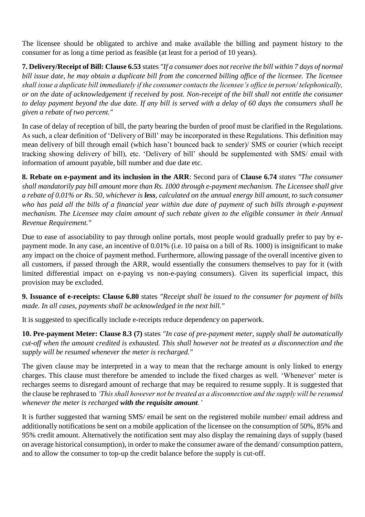The licensee should be obligated to archive and make available the billing and payment history to the consumer for as long a time period as feasible (at least for a period of 10 years).

**7. Delivery/Receipt of Bill: Clause 6.53** states *"If a consumer does not receive the bill within 7 days of normal bill issue date, he may obtain a duplicate bill from the concerned billing office of the licensee. The licensee shall issue a duplicate bill immediately if the consumer contacts the licensee's office in person/ telephonically, or on the date of acknowledgement if received by post. Non-receipt of the bill shall not entitle the consumer to delay payment beyond the due date. If any bill is served with a delay of 60 days the consumers shall be given a rebate of two percent."*

In case of delay of reception of bill, the party bearing the burden of proof must be clarified in the Regulations. As such, a clear definition of 'Delivery of Bill' may be incorporated in these Regulations. This definition may mean delivery of bill through email (which hasn't bounced back to sender)/ SMS or courier (which receipt tracking showing delivery of bill), etc. 'Delivery of bill' should be supplemented with SMS/ email with information of amount payable, bill number and due date etc.

**8. Rebate on e-payment and its inclusion in the ARR**: Second para of **Clause 6.74** *states "The consumer shall mandatorily pay bill amount more than Rs. 1000 through e-payment mechanism. The Licensee shall give a rebate of 0.01% or Rs. 50, whichever is less, calculated on the annual energy bill amount, to such consumer who has paid all the bills of a financial year within due date of payment of such bills through e-payment mechanism. The Licensee may claim amount of such rebate given to the eligible consumer in their Annual Revenue Requirement."*

Due to ease of associability to pay through online portals, most people would gradually prefer to pay by epayment mode. In any case, an incentive of 0.01% (i.e. 10 paisa on a bill of Rs. 1000) is insignificant to make any impact on the choice of payment method. Furthermore, allowing passage of the overall incentive given to all customers, if passed through the ARR, would essentially the consumers themselves to pay for it (with limited differential impact on e-paying vs non-e-paying consumers). Given its superficial impact, this provision may be excluded.

**9. Issuance of e-receipts: Clause 6.80** states *"Receipt shall be issued to the consumer for payment of bills made. In all cases, payments shall be acknowledged in the next bill."*

It is suggested to specifically include e-receipts reduce dependency on paperwork.

**10. Pre-payment Meter: Clause 8.3 (7)** states *"In case of pre-payment meter, supply shall be automatically cut-off when the amount credited is exhausted. This shall however not be treated as a disconnection and the supply will be resumed whenever the meter is recharged."*

The given clause may be interpreted in a way to mean that the recharge amount is only linked to energy charges. This clause must therefore be amended to include the fixed charges as well. 'Whenever' meter is recharges seems to disregard amount of recharge that may be required to resume supply. It is suggested that the clause be rephrased to *'This shall however not be treated as a disconnection and the supply will be resumed whenever the meter is recharged with the requisite amount.'*

It is further suggested that warning SMS/ email be sent on the registered mobile number/ email address and additionally notifications be sent on a mobile application of the licensee on the consumption of 50%, 85% and 95% credit amount. Alternatively the notification sent may also display the remaining days of supply (based on average historical consumption), in order to make the consumer aware of the demand/ consumption pattern, and to allow the consumer to top-up the credit balance before the supply is cut-off.